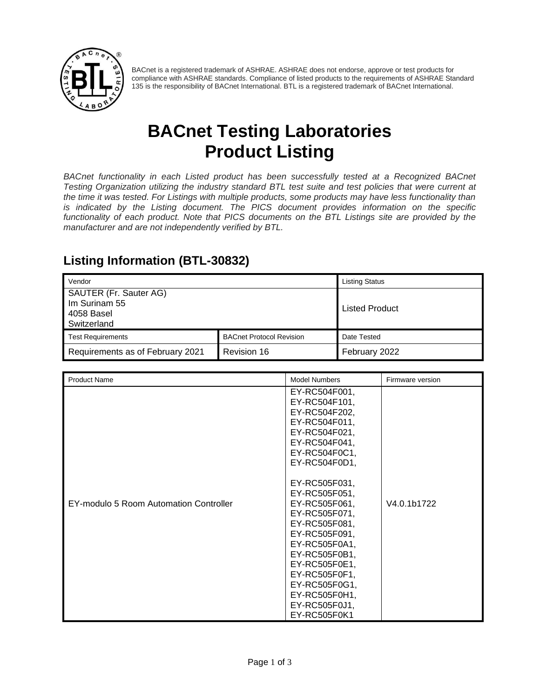

BACnet is a registered trademark of ASHRAE. ASHRAE does not endorse, approve or test products for compliance with ASHRAE standards. Compliance of listed products to the requirements of ASHRAE Standard 135 is the responsibility of BACnet International. BTL is a registered trademark of BACnet International.

# **BACnet Testing Laboratories Product Listing**

*BACnet functionality in each Listed product has been successfully tested at a Recognized BACnet Testing Organization utilizing the industry standard BTL test suite and test policies that were current at the time it was tested. For Listings with multiple products, some products may have less functionality than is indicated by the Listing document. The PICS document provides information on the specific functionality of each product. Note that PICS documents on the BTL Listings site are provided by the manufacturer and are not independently verified by BTL.*

### **Listing Information (BTL-30832)**

| Vendor                           |                                 | <b>Listing Status</b> |
|----------------------------------|---------------------------------|-----------------------|
| SAUTER (Fr. Sauter AG)           |                                 |                       |
| Im Surinam 55                    |                                 | <b>Listed Product</b> |
| 4058 Basel<br>Switzerland        |                                 |                       |
| <b>Test Requirements</b>         | <b>BACnet Protocol Revision</b> | Date Tested           |
|                                  |                                 |                       |
| Requirements as of February 2021 | Revision 16                     | February 2022         |

| <b>Product Name</b>                    | <b>Model Numbers</b>                                                                                                                                                                                                                                                                                                                                                              | Firmware version |
|----------------------------------------|-----------------------------------------------------------------------------------------------------------------------------------------------------------------------------------------------------------------------------------------------------------------------------------------------------------------------------------------------------------------------------------|------------------|
| EY-modulo 5 Room Automation Controller | EY-RC504F001,<br>EY-RC504F101,<br>EY-RC504F202,<br>EY-RC504F011,<br>EY-RC504F021,<br>EY-RC504F041,<br>EY-RC504F0C1,<br>EY-RC504F0D1,<br>EY-RC505F031,<br>EY-RC505F051,<br>EY-RC505F061,<br>EY-RC505F071,<br>EY-RC505F081,<br>EY-RC505F091,<br>EY-RC505F0A1,<br>EY-RC505F0B1,<br>EY-RC505F0E1,<br>EY-RC505F0F1,<br>EY-RC505F0G1,<br>EY-RC505F0H1,<br>EY-RC505F0J1,<br>EY-RC505F0K1 | V4.0.1b1722      |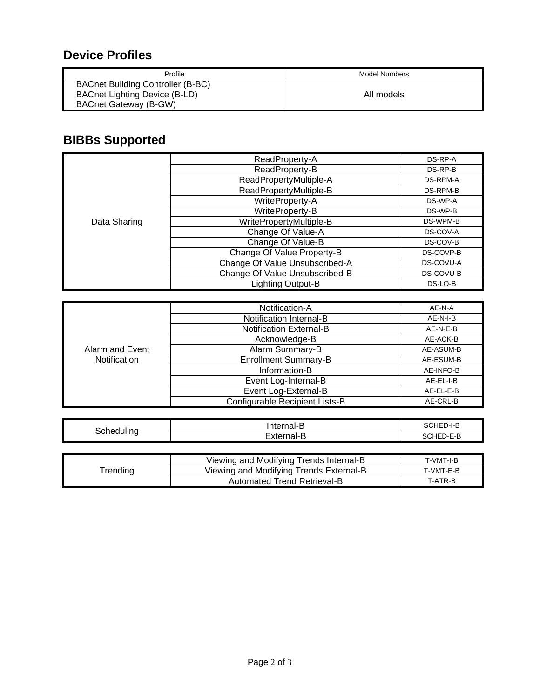#### **Device Profiles**

| Profile                                                                                                   | Model Numbers |
|-----------------------------------------------------------------------------------------------------------|---------------|
| <b>BACnet Building Controller (B-BC)</b><br>BACnet Lighting Device (B-LD)<br><b>BACnet Gateway (B-GW)</b> | All models    |

# **BIBBs Supported**

|              | ReadProperty-A                 | DS-RP-A   |
|--------------|--------------------------------|-----------|
|              | ReadProperty-B                 | DS-RP-B   |
|              | ReadPropertyMultiple-A         | DS-RPM-A  |
|              | ReadPropertyMultiple-B         | DS-RPM-B  |
|              | WriteProperty-A                | DS-WP-A   |
|              | WriteProperty-B                | DS-WP-B   |
| Data Sharing | WritePropertyMultiple-B        | DS-WPM-B  |
|              | Change Of Value-A              | DS-COV-A  |
|              | Change Of Value-B              | DS-COV-B  |
|              | Change Of Value Property-B     | DS-COVP-B |
|              | Change Of Value Unsubscribed-A | DS-COVU-A |
|              | Change Of Value Unsubscribed-B | DS-COVU-B |
|              | Lighting Output-B              | DS-LO-B   |

|                                        | Notification-A                 | AE-N-A    |
|----------------------------------------|--------------------------------|-----------|
|                                        | Notification Internal-B        | AE-N-I-B  |
|                                        | <b>Notification External-B</b> | AE-N-E-B  |
|                                        | Acknowledge-B                  | AE-ACK-B  |
| Alarm and Event<br><b>Notification</b> | Alarm Summary-B                | AE-ASUM-B |
|                                        | <b>Enrollment Summary-B</b>    | AE-ESUM-B |
|                                        | Information-B                  | AE-INFO-B |
|                                        | Event Log-Internal-B           | AE-EL-I-B |
|                                        | Event Log-External-B           | AE-EL-E-B |
|                                        | Configurable Recipient Lists-B | AE-CRL-B  |

| -<br>$-$             | -----<br>.,         | -<br>--<br>.<br>$  -$          |
|----------------------|---------------------|--------------------------------|
| י<br>_ _ _ _ _<br>., | . .<br>______<br>__ | . .<br>$\sim$<br>$ -$<br>$  -$ |

|         | Viewing and Modifying Trends Internal-B | T-VMT-I-B |
|---------|-----------------------------------------|-----------|
| rending | Viewing and Modifying Trends External-B | T-VMT-E-B |
|         | Automated Trend Retrieval-B             | T-ATR-B   |